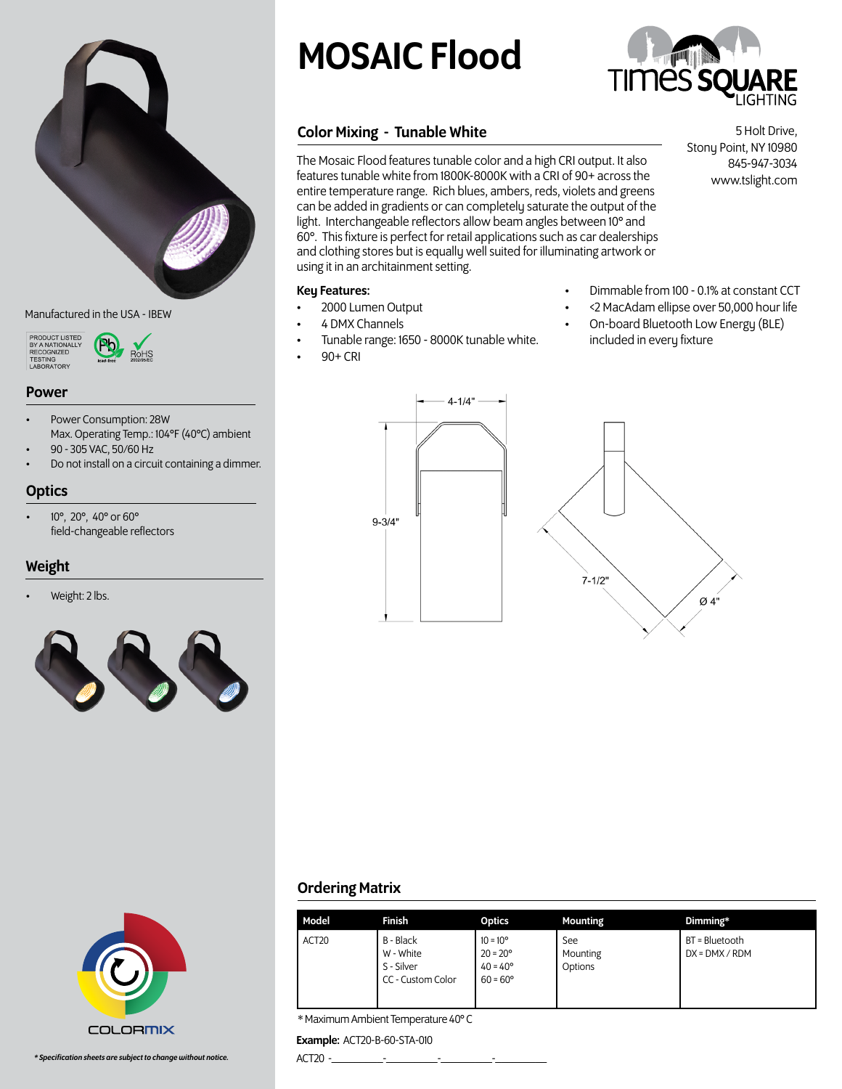

### Manufactured in the USA - IBEW



# Power

• Power Consumption: 28W Max. Operating Temp.: 104°F (40°C) ambient

RoHS

• 90 - 305 VAC, 50/60 Hz • Do not install on a circuit containing a dimmer.

# **Optics**

• 10°, 20°, 40° or 60° field-changeable reflectors

# Weight

• Weight: 2 lbs.



# MOSAIC Flood



# Color Mixing - Tunable White

The Mosaic Flood features tunable color and a high CRI output. It also features tunable white from 1800K-8000K with a CRI of 90+ across the entire temperature range. Rich blues, ambers, reds, violets and greens can be added in gradients or can completely saturate the output of the light. Interchangeable reflectors allow beam angles between 10° and 60°. This fixture is perfect for retail applications such as car dealerships and clothing stores but is equally well suited for illuminating artwork or using it in an architainment setting.

# Key Features:

- 2000 Lumen Output
- 4 DMX Channels
- Tunable range: 1650 8000K tunable white.
- 90+ CRI
- Dimmable from 100 0.1% at constant CCT
- <2 MacAdam ellipse over 50,000 hour life
- On-board Bluetooth Low Energy (BLE) included in every fixture



**COLORMIX** 

# Ordering Matrix

| Model             | Finish                                                    | <b>Optics</b>                                                                    | <b>Mounting</b>            | Dimming*                           |
|-------------------|-----------------------------------------------------------|----------------------------------------------------------------------------------|----------------------------|------------------------------------|
| ACT <sub>20</sub> | B - Black<br>W - White<br>S - Silver<br>CC - Custom Color | $10 = 10^{\circ}$<br>$20 = 20^{\circ}$<br>$40 = 40^{\circ}$<br>$60 = 60^{\circ}$ | See<br>Mounting<br>Options | BT = Bluetooth<br>$DX = DMX / RDM$ |

\* Maximum Ambient Temperature 40° C

## Example: ACT20-B-60-STA-010

ACT20 -\_\_\_\_\_\_\_\_\_-\_\_\_\_\_\_\_\_\_-\_\_\_\_\_\_\_\_\_-\_\_\_\_\_\_\_\_\_

5 Holt Drive, Stony Point, NY 10980 845-947-3034 www.tslight.com